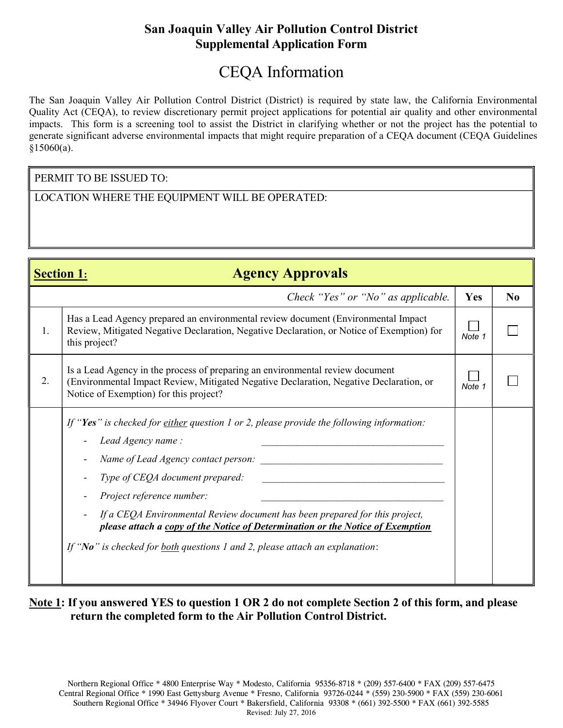## San Joaquin Valley Air Pollution Control District Supplemental Application Form

# CEQA Information

The San Joaquin Valley Air Pollution Control District (District) is required by state law, the California Environmental Quality Act (CEQA), to review discretionary permit project applications for potential air quality and other environmental impacts. This form is a screening tool to assist the District in clarifying whether or not the project has the potential to generate significant adverse environmental impacts that might require preparation of a CEQA document (CEQA Guidelines §15060(a).

#### PERMIT TO BE ISSUED TO:

LOCATION WHERE THE EQUIPMENT WILL BE OPERATED:

| <b>Agency Approvals</b><br><b>Section 1:</b> |                                                                                                                                                                                                                                                                                                                                                                                                                                                                        |        |                |  |  |
|----------------------------------------------|------------------------------------------------------------------------------------------------------------------------------------------------------------------------------------------------------------------------------------------------------------------------------------------------------------------------------------------------------------------------------------------------------------------------------------------------------------------------|--------|----------------|--|--|
|                                              | Check "Yes" or "No" as applicable.                                                                                                                                                                                                                                                                                                                                                                                                                                     | Yes    | N <sub>0</sub> |  |  |
| 1.                                           | Has a Lead Agency prepared an environmental review document (Environmental Impact<br>Review, Mitigated Negative Declaration, Negative Declaration, or Notice of Exemption) for<br>this project?                                                                                                                                                                                                                                                                        | Note 1 |                |  |  |
| 2.                                           | Is a Lead Agency in the process of preparing an environmental review document<br>(Environmental Impact Review, Mitigated Negative Declaration, Negative Declaration, or<br>Notice of Exemption) for this project?                                                                                                                                                                                                                                                      | Note 1 |                |  |  |
|                                              | If "Yes" is checked for either question 1 or 2, please provide the following information:<br>Lead Agency name:<br>Name of Lead Agency contact person:<br>Type of CEQA document prepared:<br>Project reference number:<br>If a CEQA Environmental Review document has been prepared for this project,<br>please attach a copy of the Notice of Determination or the Notice of Exemption<br>If "No" is checked for both questions 1 and 2, please attach an explanation: |        |                |  |  |

### Note 1: If you answered YES to question 1 OR 2 do not complete Section 2 of this form, and please return the completed form to the Air Pollution Control District.